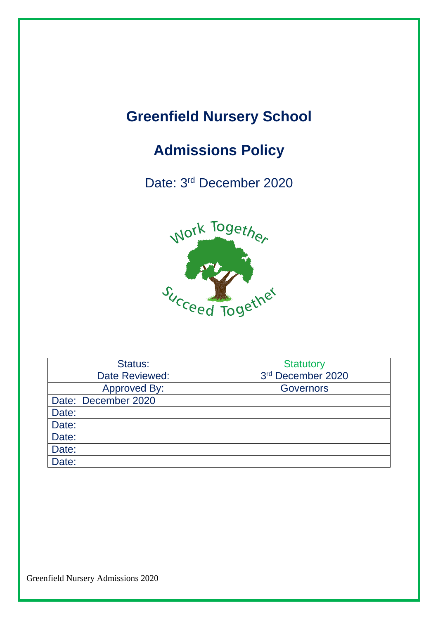## **Greenfield Nursery School**

### **Admissions Policy**

Date: 3<sup>rd</sup> December 2020



| Status:             | <b>Statutory</b>  |
|---------------------|-------------------|
| Date Reviewed:      | 3rd December 2020 |
| <b>Approved By:</b> | <b>Governors</b>  |
| Date: December 2020 |                   |
| Date:               |                   |
| Date:               |                   |
| Date:               |                   |
| Date:               |                   |
| Date:               |                   |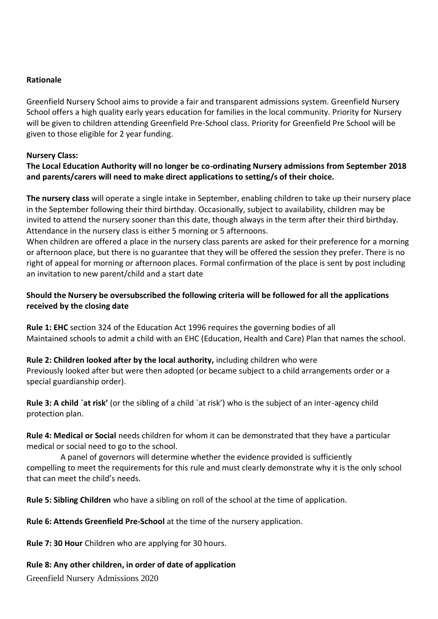### **Rationale**

Greenfield Nursery School aims to provide a fair and transparent admissions system. Greenfield Nursery School offers a high quality early years education for families in the local community. Priority for Nursery will be given to children attending Greenfield Pre-School class. Priority for Greenfield Pre School will be given to those eligible for 2 year funding.

### **Nursery Class:**

### **The Local Education Authority will no longer be co-ordinating Nursery admissions from September 2018 and parents/carers will need to make direct applications to setting/s of their choice.**

**The nursery class** will operate a single intake in September, enabling children to take up their nursery place in the September following their third birthday. Occasionally, subject to availability, children may be invited to attend the nursery sooner than this date, though always in the term after their third birthday. Attendance in the nursery class is either 5 morning or 5 afternoons.

When children are offered a place in the nursery class parents are asked for their preference for a morning or afternoon place, but there is no guarantee that they will be offered the session they prefer. There is no right of appeal for morning or afternoon places. Formal confirmation of the place is sent by post including an invitation to new parent/child and a start date

### **Should the Nursery be oversubscribed the following criteria will be followed for all the applications received by the closing date**

**Rule 1: EHC** section 324 of the Education Act 1996 requires the governing bodies of all Maintained schools to admit a child with an EHC (Education, Health and Care) Plan that names the school.

### **Rule 2: Children looked after by the local authority,** including children who were

Previously looked after but were then adopted (or became subject to a child arrangements order or a special guardianship order).

**Rule 3: A child `at risk'** (or the sibling of a child `at risk') who is the subject of an inter-agency child protection plan.

**Rule 4: Medical or Social** needs children for whom it can be demonstrated that they have a particular medical or social need to go to the school.

 A panel of governors will determine whether the evidence provided is sufficiently compelling to meet the requirements for this rule and must clearly demonstrate why it is the only school that can meet the child's needs.

**Rule 5: Sibling Children** who have a sibling on roll of the school at the time of application.

**Rule 6: Attends Greenfield Pre-School** at the time of the nursery application.

**Rule 7: 30 Hour** Children who are applying for 30 hours.

### **Rule 8: Any other children, in order of date of application**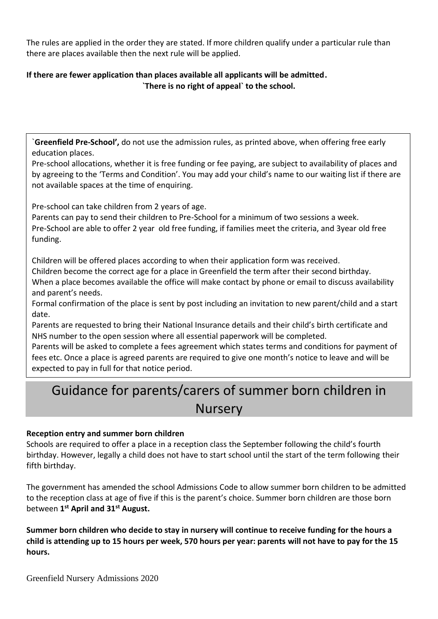The rules are applied in the order they are stated. If more children qualify under a particular rule than there are places available then the next rule will be applied.

### **If there are fewer application than places available all applicants will be admitted. `There is no right of appeal` to the school.**

`**Greenfield Pre-School',** do not use the admission rules, as printed above, when offering free early education places.

Pre-school allocations, whether it is free funding or fee paying, are subject to availability of places and by agreeing to the 'Terms and Condition'. You may add your child's name to our waiting list if there are not available spaces at the time of enquiring.

Pre-school can take children from 2 years of age.

Parents can pay to send their children to Pre-School for a minimum of two sessions a week. Pre-School are able to offer 2 year old free funding, if families meet the criteria, and 3year old free funding.

Children will be offered places according to when their application form was received. Children become the correct age for a place in Greenfield the term after their second birthday. When a place becomes available the office will make contact by phone or email to discuss availability and parent's needs.

Formal confirmation of the place is sent by post including an invitation to new parent/child and a start date.

Parents are requested to bring their National Insurance details and their child's birth certificate and NHS number to the open session where all essential paperwork will be completed.

Parents will be asked to complete a fees agreement which states terms and conditions for payment of fees etc. Once a place is agreed parents are required to give one month's notice to leave and will be expected to pay in full for that notice period.

### Guidance for parents/carers of summer born children in **Nursery**

### **Reception entry and summer born children**

Schools are required to offer a place in a reception class the September following the child's fourth birthday. However, legally a child does not have to start school until the start of the term following their fifth birthday.

The government has amended the school Admissions Code to allow summer born children to be admitted to the reception class at age of five if this is the parent's choice. Summer born children are those born between **1 st April and 31st August.**

**Summer born children who decide to stay in nursery will continue to receive funding for the hours a child is attending up to 15 hours per week, 570 hours per year: parents will not have to pay for the 15 hours.**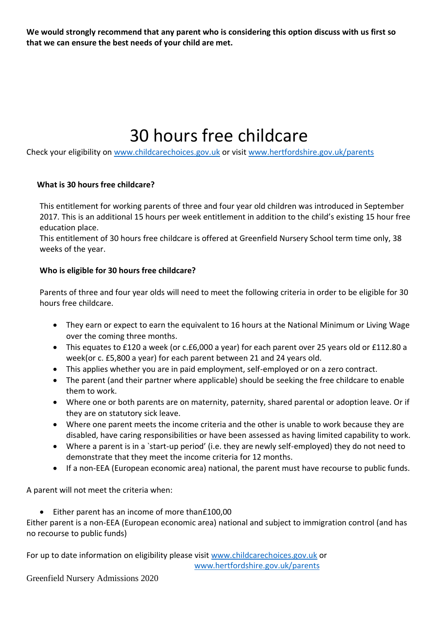**We would strongly recommend that any parent who is considering this option discuss with us first so that we can ensure the best needs of your child are met.**

# 30 hours free childcare

Check your eligibility on [www.childcarechoices.gov.uk](http://www.childcarechoices.gov.uk/) or visi[t www.hertfordshire.gov.uk/parents](http://www.hertfordshire.gov.uk/parents)

### **What is 30 hours free childcare?**

This entitlement for working parents of three and four year old children was introduced in September 2017. This is an additional 15 hours per week entitlement in addition to the child's existing 15 hour free education place.

This entitlement of 30 hours free childcare is offered at Greenfield Nursery School term time only, 38 weeks of the year.

### **Who is eligible for 30 hours free childcare?**

Parents of three and four year olds will need to meet the following criteria in order to be eligible for 30 hours free childcare.

- They earn or expect to earn the equivalent to 16 hours at the National Minimum or Living Wage over the coming three months.
- This equates to £120 a week (or c.£6,000 a year) for each parent over 25 years old or £112.80 a week(or c. £5,800 a year) for each parent between 21 and 24 years old.
- This applies whether you are in paid employment, self-employed or on a zero contract.
- The parent (and their partner where applicable) should be seeking the free childcare to enable them to work.
- Where one or both parents are on maternity, paternity, shared parental or adoption leave. Or if they are on statutory sick leave.
- Where one parent meets the income criteria and the other is unable to work because they are disabled, have caring responsibilities or have been assessed as having limited capability to work.
- Where a parent is in a `start-up period' (i.e. they are newly self-employed) they do not need to demonstrate that they meet the income criteria for 12 months.
- If a non-EEA (European economic area) national, the parent must have recourse to public funds.

A parent will not meet the criteria when:

• Either parent has an income of more than£100,00

Either parent is a non-EEA (European economic area) national and subject to immigration control (and has no recourse to public funds)

For up to date information on eligibility please visit [www.childcarechoices.gov.uk](http://www.childcarechoices.gov.uk/) or

[www.hertfordshire.gov.uk/parents](http://www.hertfordshire.gov.uk/parents)